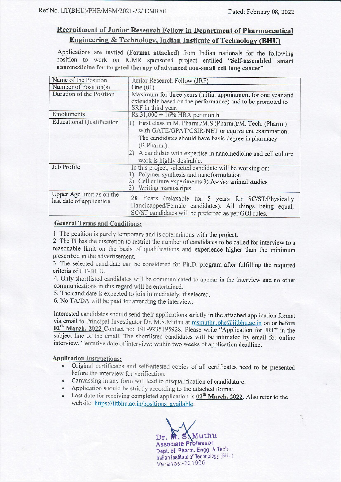# Recruitment of Junior Research Fellow in Department of Pharmaceutical **Engineering & Technology, Indian Institute of Technology (BHU)**

Applications are invited (Format attached) from Indian nationals for the following position to work on ICMR sponsored project entitled "Self-assembled smart nanomedicine for targeted therapy of advanced non-small cell lung cancer"

| Name of the Position                                  | Junior Research Fellow (JRF)                                                                                                                                                                                                                             |  |  |  |  |
|-------------------------------------------------------|----------------------------------------------------------------------------------------------------------------------------------------------------------------------------------------------------------------------------------------------------------|--|--|--|--|
| Number of Position(s)                                 | One $(01)$                                                                                                                                                                                                                                               |  |  |  |  |
| Duration of the Position                              | Maximum for three years (initial appointment for one year and<br>extendable based on the performance) and to be promoted to<br>SRF in third year.                                                                                                        |  |  |  |  |
| Emoluments                                            | $Rs.31,000 + 16\%$ HRA per month                                                                                                                                                                                                                         |  |  |  |  |
| <b>Educational Qualification</b>                      | 1) First class in M. Pharm./M.S.(Pharm.)/M. Tech. (Pharm.)<br>with GATE/GPAT/CSIR-NET or equivalent examination.<br>The candidates should have basic degree in pharmacy<br>(B.Pharm.).<br>2) A candidate with expertise in nanomedicine and cell culture |  |  |  |  |
|                                                       | work is highly desirable.                                                                                                                                                                                                                                |  |  |  |  |
| Job Profile                                           | In this project, selected candidate will be working on:<br>Polymer synthesis and nanoformulation<br>Cell culture experiments 3) $In-vivo$ animal studies<br>Writing manuscripts<br>3)                                                                    |  |  |  |  |
| Upper Age limit as on the<br>last date of application | 28 Years (relaxable for 5 years for SC/ST/Physically<br>Handicapped/Female candidates). All things being equal,<br>SC/ST candidates will be preferred as per GOI rules.                                                                                  |  |  |  |  |

## **General Terms and Conditions:**

1. The position is purely temporary and is coterminous with the project.

2. The PI has the discretion to restrict the number of candidates to be called for interview to a reasonable limit on the basis of qualifications and experience higher than the minimum prescribed in the advertisement.

3. The selected candidate can be considered for Ph.D. program after fulfilling the required criteria of IIT-BHU.

4. Only shortlisted candidates will be communicated to appear in the interview and no other communications in this regard will be entertained.

5. The candidate is expected to join immediately, if selected.

6. No TA/DA will be paid for attending the interview.

Interested candidates should send their applications strictly in the attached application format via email to Principal Investigator Dr. M.S.Muthu at msmuthu.phe@iitbhu.ac.in on or before 02<sup>th</sup> March, 2022 Contact no: +91-9235195928. Please write "Application for JRF" in the subject line of the email. The shortlisted candidates will be intimated by email for online interview. Tentative date of interview: within two weeks of application deadline.

## **Application Instructions:**

- Original certificates and self-attested copies of all certificates need to be presented  $\bullet$ before the interview for verification.
- Canvassing in any form will lead to disqualification of candidature.
- Application should be strictly according to the attached format.
- Last date for receiving completed application is  $02<sup>th</sup>$  March, 2022. Also refer to the website: https://iitbhu.ac.in/positions available.